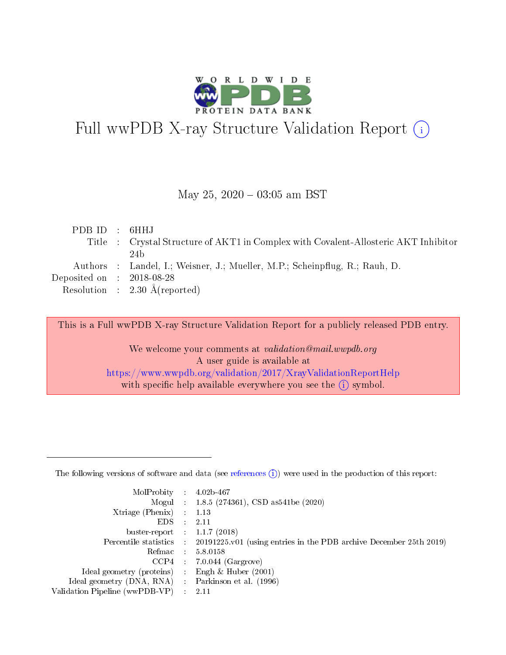

# Full wwPDB X-ray Structure Validation Report (i)

### May 25,  $2020 - 03:05$  am BST

| PDBID : 6HHJ                |                                                                                     |
|-----------------------------|-------------------------------------------------------------------------------------|
|                             | Title : Crystal Structure of AKT1 in Complex with Covalent-Allosteric AKT Inhibitor |
|                             | 24 h                                                                                |
|                             | Authors : Landel, I.; Weisner, J.; Mueller, M.P.; Scheinpflug, R.; Rauh, D.         |
| Deposited on : $2018-08-28$ |                                                                                     |
|                             | Resolution : $2.30 \text{ Å}$ (reported)                                            |

This is a Full wwPDB X-ray Structure Validation Report for a publicly released PDB entry.

We welcome your comments at validation@mail.wwpdb.org A user guide is available at <https://www.wwpdb.org/validation/2017/XrayValidationReportHelp> with specific help available everywhere you see the  $(i)$  symbol.

The following versions of software and data (see [references](https://www.wwpdb.org/validation/2017/XrayValidationReportHelp#references)  $(1)$ ) were used in the production of this report:

| MolProbity :                   |               | $4.02b - 467$                                                               |
|--------------------------------|---------------|-----------------------------------------------------------------------------|
|                                |               | Mogul : $1.8.5$ (274361), CSD as 541be (2020)                               |
| Xtriage (Phenix)               | $\mathcal{L}$ | 1.13                                                                        |
| EDS.                           |               | 2.11                                                                        |
| buster-report : $1.1.7$ (2018) |               |                                                                             |
| Percentile statistics :        |               | $20191225 \text{v}01$ (using entries in the PDB archive December 25th 2019) |
| Refmac :                       |               | 5.8.0158                                                                    |
| CCP4                           |               | $7.0.044$ (Gargrove)                                                        |
| Ideal geometry (proteins) :    |               | Engh & Huber $(2001)$                                                       |
| Ideal geometry (DNA, RNA) :    |               | Parkinson et al. (1996)                                                     |
| Validation Pipeline (wwPDB-VP) | $\mathcal{L}$ | 2.11                                                                        |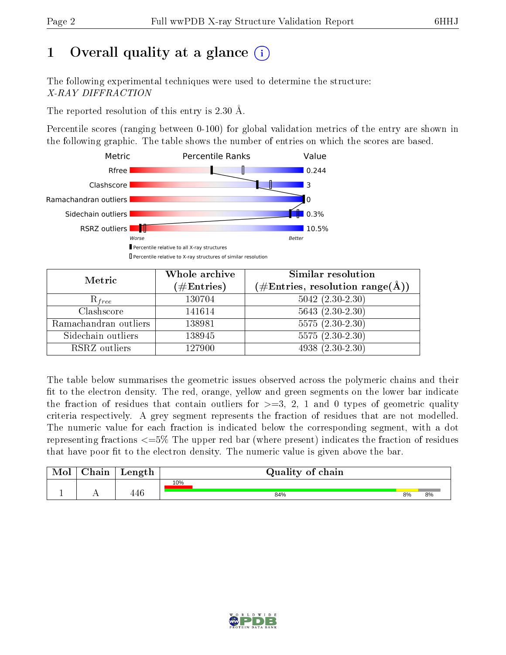# 1 [O](https://www.wwpdb.org/validation/2017/XrayValidationReportHelp#overall_quality)verall quality at a glance  $(i)$

The following experimental techniques were used to determine the structure: X-RAY DIFFRACTION

The reported resolution of this entry is 2.30 Å.

Percentile scores (ranging between 0-100) for global validation metrics of the entry are shown in the following graphic. The table shows the number of entries on which the scores are based.



| Metric                | Whole archive<br>$(\#\text{Entries})$ | <b>Similar resolution</b><br>$(\#\text{Entries}, \text{resolution range}(\textup{\AA}))$ |
|-----------------------|---------------------------------------|------------------------------------------------------------------------------------------|
| $R_{free}$            | 130704                                | $5042$ $(2.30-2.30)$                                                                     |
| Clashscore            | 141614                                | $5643(2.30-2.30)$                                                                        |
| Ramachandran outliers | 138981                                | $5575(2.30-2.30)$                                                                        |
| Sidechain outliers    | 138945                                | $5575(2.30-2.30)$                                                                        |
| RSRZ outliers         | 127900                                | $4938(2.30-2.30)$                                                                        |

The table below summarises the geometric issues observed across the polymeric chains and their fit to the electron density. The red, orange, yellow and green segments on the lower bar indicate the fraction of residues that contain outliers for  $>=3, 2, 1$  and 0 types of geometric quality criteria respectively. A grey segment represents the fraction of residues that are not modelled. The numeric value for each fraction is indicated below the corresponding segment, with a dot representing fractions  $\epsilon=5\%$  The upper red bar (where present) indicates the fraction of residues that have poor fit to the electron density. The numeric value is given above the bar.

| Mol       | $\gamma$ hain | Length | Quality of chain |    |    |
|-----------|---------------|--------|------------------|----|----|
|           |               |        | 10%              |    |    |
| <u>д.</u> | . .           | 77.    | 84%              | 8% | 8% |

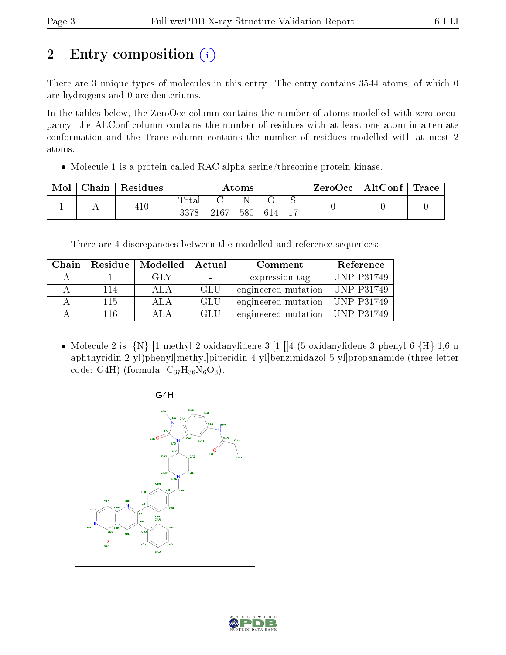# 2 Entry composition  $\binom{1}{1}$

There are 3 unique types of molecules in this entry. The entry contains 3544 atoms, of which 0 are hydrogens and 0 are deuteriums.

In the tables below, the ZeroOcc column contains the number of atoms modelled with zero occupancy, the AltConf column contains the number of residues with at least one atom in alternate conformation and the Trace column contains the number of residues modelled with at most 2 atoms.

Molecule 1 is a protein called RAC-alpha serine/threonine-protein kinase.

| Mol | $\perp$ Chain $^+$ | $\vert$ Residues | Atoms               |      |     |     |  | $\mid$ ZeroOcc $\mid$ AltConf $\mid$ Trace |  |
|-----|--------------------|------------------|---------------------|------|-----|-----|--|--------------------------------------------|--|
|     |                    | 410              | $\rm Total$<br>3378 | 2167 | 580 | 614 |  |                                            |  |

There are 4 discrepancies between the modelled and reference sequences:

| Chain | Residue | $\mid$ Modelled $\mid$ | Actual | Comment                          | Reference  |
|-------|---------|------------------------|--------|----------------------------------|------------|
|       |         | GLY                    |        | expression tag                   | UNP P31749 |
|       | 114     | A L A                  | -GLU   | engineered mutation   UNP P31749 |            |
|       | 115     | ALA.                   | GLU    | engineered mutation   UNP P31749 |            |
|       | 116     | ATA                    | GLU    | engineered mutation   UNP P31749 |            |

• Molecule 2 is  ${N}$ -[1-methyl-2-oxidanylidene-3-[1-[[4-(5-oxidanylidene-3-phenyl-6  ${H}$ -1,6-n aphthyridin-2-yl)phenyl]methyl]piperidin-4-yl]benzimidazol-5-yl]propanamide (three-letter code: G4H) (formula:  $C_{37}H_{36}N_6O_3$ ).



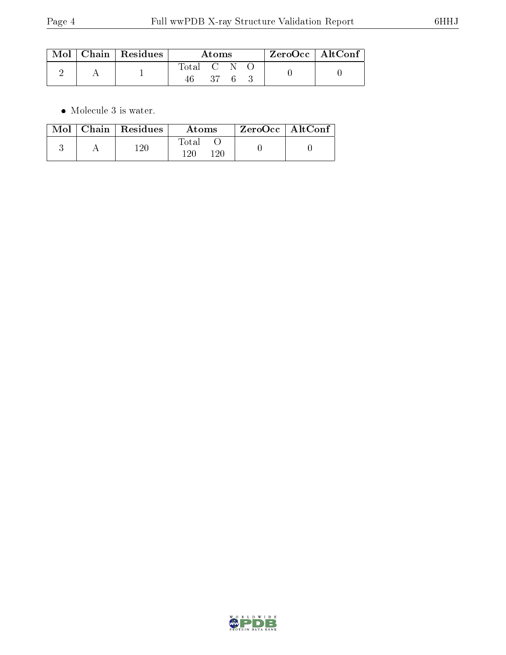|  | $\mid$ Mol $\mid$ Chain $\mid$ Residues | Atoms     |     |  | $ZeroOcc$   AltConf |  |
|--|-----------------------------------------|-----------|-----|--|---------------------|--|
|  |                                         | Total C N | -37 |  |                     |  |

 $\bullet\,$  Molecule 3 is water.

|  | $Mol$   Chain   Residues | Atoms               | ZeroOcc   AltConf |
|--|--------------------------|---------------------|-------------------|
|  | $120\,$                  | Total<br>120<br>120 |                   |

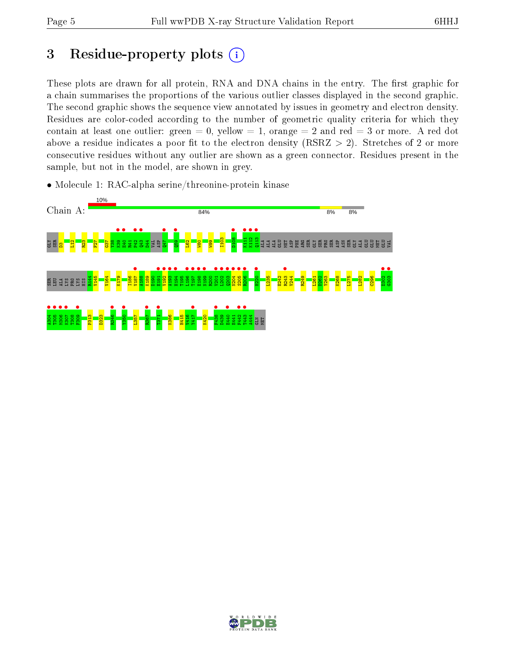## 3 Residue-property plots  $(i)$

These plots are drawn for all protein, RNA and DNA chains in the entry. The first graphic for a chain summarises the proportions of the various outlier classes displayed in the second graphic. The second graphic shows the sequence view annotated by issues in geometry and electron density. Residues are color-coded according to the number of geometric quality criteria for which they contain at least one outlier: green  $= 0$ , yellow  $= 1$ , orange  $= 2$  and red  $= 3$  or more. A red dot above a residue indicates a poor fit to the electron density (RSRZ  $> 2$ ). Stretches of 2 or more consecutive residues without any outlier are shown as a green connector. Residues present in the sample, but not in the model, are shown in grey.

• Molecule 1: RAC-alpha serine/threonine-protein kinase



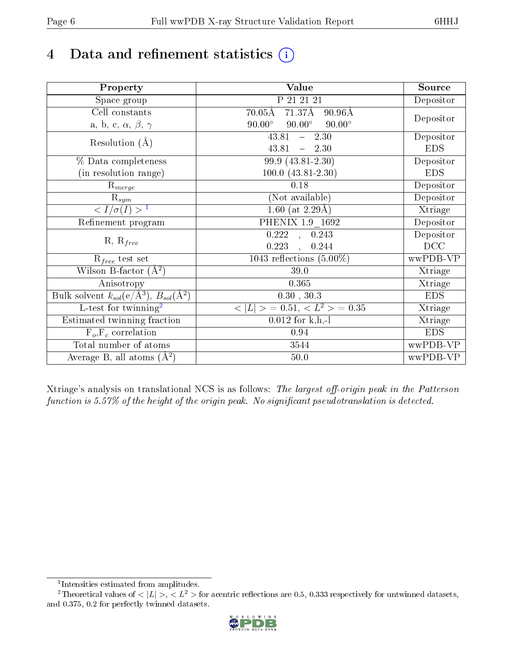# 4 Data and refinement statistics  $(i)$

| Property                                                             | Value                                            | Source     |
|----------------------------------------------------------------------|--------------------------------------------------|------------|
| Space group                                                          | P 21 21 21                                       | Depositor  |
| Cell constants                                                       | 71.37Å<br>$70.05\text{\AA}$<br>$90.96\text{\AA}$ |            |
| a, b, c, $\alpha$ , $\beta$ , $\gamma$                               | $90.00^\circ$<br>$90.00^\circ$<br>$90.00^\circ$  | Depositor  |
| Resolution $(A)$                                                     | 43.81<br>$-2.30$                                 | Depositor  |
|                                                                      | 43.81<br>$-2.30$                                 | <b>EDS</b> |
| % Data completeness                                                  | 99.9 (43.81-2.30)                                | Depositor  |
| (in resolution range)                                                | $100.0 (43.81 - 2.30)$                           | <b>EDS</b> |
| $R_{merge}$                                                          | 0.18                                             | Depositor  |
| $\mathrm{R}_{sym}$                                                   | (Not available)                                  | Depositor  |
| $\sqrt{I/\sigma}(I) > 1$                                             | $1.60$ (at 2.29Å)                                | Xtriage    |
| Refinement program                                                   | PHENIX 1.9 1692                                  | Depositor  |
|                                                                      | 0.243<br>$\overline{0.222}$ ,                    | Depositor  |
| $R, R_{free}$                                                        | 0.223<br>0.244                                   | DCC        |
| $R_{free}$ test set                                                  | 1043 reflections $(5.00\%)$                      | wwPDB-VP   |
| Wilson B-factor $(A^2)$                                              | 39.0                                             | Xtriage    |
| Anisotropy                                                           | 0.365                                            | Xtriage    |
| Bulk solvent $k_{sol}(e/\mathring{A}^3)$ , $B_{sol}(\mathring{A}^2)$ | 0.30, 30.3                                       | <b>EDS</b> |
| L-test for twinning <sup>2</sup>                                     | $< L >$ = 0.51, $< L2$ > = 0.35                  | Xtriage    |
| Estimated twinning fraction                                          | $0.012$ for k,h,-l                               | Xtriage    |
| $F_o, F_c$ correlation                                               | 0.94                                             | <b>EDS</b> |
| Total number of atoms                                                | 3544                                             | wwPDB-VP   |
| Average B, all atoms $(A^2)$                                         | $50.0$                                           | wwPDB-VP   |

Xtriage's analysis on translational NCS is as follows: The largest off-origin peak in the Patterson function is  $5.57\%$  of the height of the origin peak. No significant pseudotranslation is detected.

<sup>&</sup>lt;sup>2</sup>Theoretical values of  $\langle |L| \rangle$ ,  $\langle L^2 \rangle$  for acentric reflections are 0.5, 0.333 respectively for untwinned datasets, and 0.375, 0.2 for perfectly twinned datasets.



<span id="page-5-1"></span><span id="page-5-0"></span><sup>1</sup> Intensities estimated from amplitudes.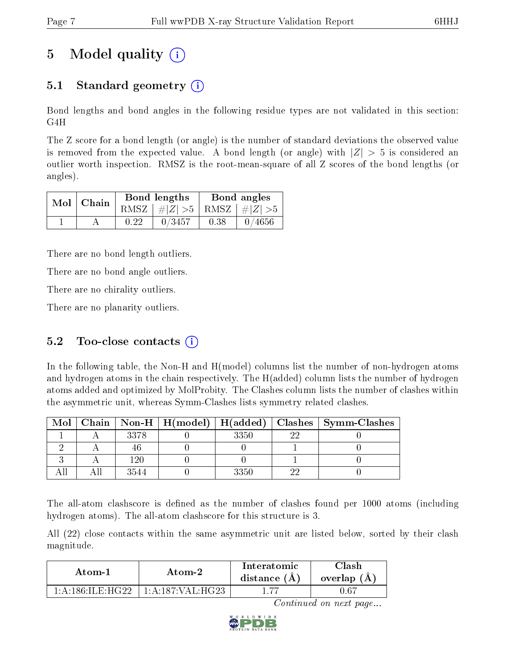## 5 Model quality  $(i)$

### 5.1 Standard geometry  $\overline{()}$

Bond lengths and bond angles in the following residue types are not validated in this section: G4H

The Z score for a bond length (or angle) is the number of standard deviations the observed value is removed from the expected value. A bond length (or angle) with  $|Z| > 5$  is considered an outlier worth inspection. RMSZ is the root-mean-square of all Z scores of the bond lengths (or angles).

| $Mol$   Chain |      | Bond lengths                    | Bond angles |           |  |
|---------------|------|---------------------------------|-------------|-----------|--|
|               |      | RMSZ $ #Z  > 5$ RMSZ $ #Z  > 5$ |             |           |  |
|               | 0.22 | 0/3457                          | 0.38        | $-0/4656$ |  |

There are no bond length outliers.

There are no bond angle outliers.

There are no chirality outliers.

There are no planarity outliers.

### 5.2 Too-close contacts  $(i)$

In the following table, the Non-H and H(model) columns list the number of non-hydrogen atoms and hydrogen atoms in the chain respectively. The H(added) column lists the number of hydrogen atoms added and optimized by MolProbity. The Clashes column lists the number of clashes within the asymmetric unit, whereas Symm-Clashes lists symmetry related clashes.

| Mol |      |      |    | Chain   Non-H   H(model)   H(added)   Clashes   Symm-Clashes |
|-----|------|------|----|--------------------------------------------------------------|
|     | 3378 | 3350 | റല |                                                              |
|     |      |      |    |                                                              |
|     | 190  |      |    |                                                              |
|     | 3544 | 3350 |    |                                                              |

The all-atom clashscore is defined as the number of clashes found per 1000 atoms (including hydrogen atoms). The all-atom clashscore for this structure is 3.

All (22) close contacts within the same asymmetric unit are listed below, sorted by their clash magnitude.

| Atom-1                                               | Atom-2                                     | Interatomic<br>distance (A) | Clash<br>overlap (A) |
|------------------------------------------------------|--------------------------------------------|-----------------------------|----------------------|
| $1 \cdot 4 \cdot 186 \cdot \text{H} + \text{H}$ (199 | $1 \cdot A \cdot 187 \cdot VAI \cdot HG23$ |                             | 0.67                 |

Continued on next page...

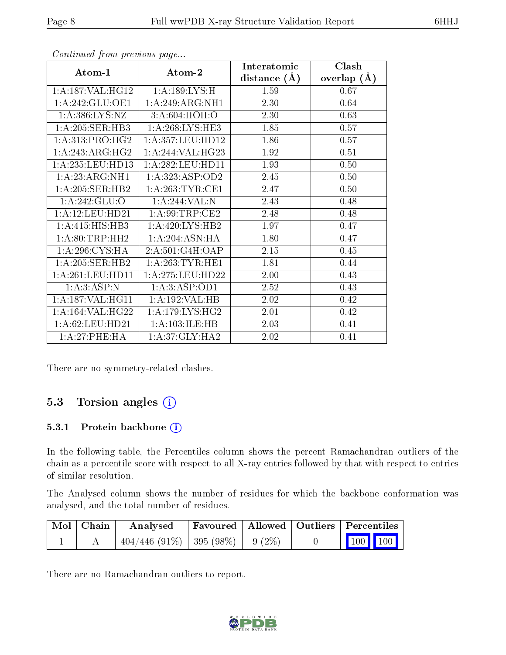|                                                                  |                     | Interatomic    | Clash         |
|------------------------------------------------------------------|---------------------|----------------|---------------|
| Atom-1                                                           | Atom-2              | distance $(A)$ | overlap $(A)$ |
| 1: A: 187: VAL: HG12                                             | 1:A:189:LYS:H       | 1.59           | 0.67          |
| 1:A:242:GLU:OE1                                                  | 1:A:249:ARG:NH1     | 2.30           | 0.64          |
| 1: A: 386: LYS: NZ                                               | 3:A:604:HOH:O       | 2.30           | 0.63          |
| 1:A:205:SER:HB3                                                  | 1: A:268:LYS:HE3    | 1.85           | 0.57          |
| 1: A:313: PRO:HG2                                                | 1:A:357:LEU:HD12    | 1.86           | 0.57          |
| 1: A:243: ARG: HG2                                               | 1:A:244:VAL:HG23    | 1.92           | 0.51          |
| 1:A:235:LEU:HD13                                                 | 1:A:282:LEU:HD11    | 1.93           | 0.50          |
| 1:A:23:ARG:NH1                                                   | 1: A: 323: ASP: OD2 | 2.45           | 0.50          |
| 1:A:205:SER:HB2                                                  | 1: A:263:TYR:CE1    | 2.47           | 0.50          |
| 1: A:242: GLU:O                                                  | 1:A:244:VAL:N       | 2.43           | 0.48          |
| 1:A:12:LEU:HD21                                                  | 1:A:99:TRP:CE2      | 2.48           | 0.48          |
| 1:A:415:HIS:HB3                                                  | 1:A:420:LYS:HB2     | 1.97           | 0.47          |
| 1: A:80:TRP:HH2                                                  | 1:A:204:ASN:HA      | 1.80           | 0.47          |
| 1: A:296: CYS:HA                                                 | 2:A:501:G4H:OAP     | 2.15           | 0.45          |
| $1:\overline{A}:205:\overline{\text{SER}}:\overline{\text{HB2}}$ | 1: A:263:TYR:HE1    | 1.81           | 0.44          |
| 1:A:261:LEU:HD11                                                 | 1: A:275:LEU:HD22   | 2.00           | 0.43          |
| 1:A:3:ASP:N                                                      | 1:A:3:ASP:OD1       | 2.52           | 0.43          |
| 1:A:187:VAL:HG11                                                 | 1:A:192:VAL:HB      | 2.02           | 0.42          |
| 1:A:164:VAL:HG22                                                 | 1: A:179: LYS: HG2  | 2.01           | 0.42          |
| 1:A:62:LEU:HD21                                                  | 1:A:103:ILE:HB      | 2.03           | 0.41          |
| 1:A:27:PHE:HA                                                    | 1: A:37: GLY:HA2    | 2.02           | 0.41          |

Continued from previous page...

There are no symmetry-related clashes.

### 5.3 Torsion angles (i)

#### 5.3.1 Protein backbone (i)

In the following table, the Percentiles column shows the percent Ramachandran outliers of the chain as a percentile score with respect to all X-ray entries followed by that with respect to entries of similar resolution.

The Analysed column shows the number of residues for which the backbone conformation was analysed, and the total number of residues.

| $\mid$ Mol $\mid$ Chain $\mid$ | Analysed                                | Favoured   Allowed   Outliers   Percentiles |  |                                                              |  |
|--------------------------------|-----------------------------------------|---------------------------------------------|--|--------------------------------------------------------------|--|
|                                | $404/446$ (91\%)   395 (98\%)   9 (2\%) |                                             |  | $\begin{array}{ c c c c c }\n\hline\n100 & 100\n\end{array}$ |  |

There are no Ramachandran outliers to report.

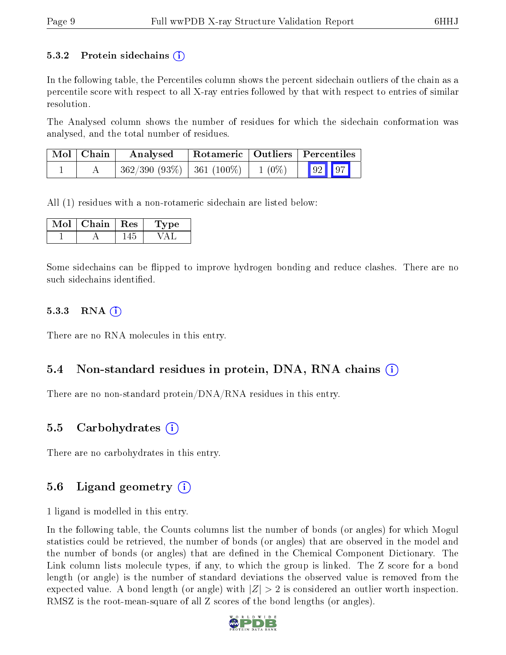#### 5.3.2 Protein sidechains  $\hat{I}$

In the following table, the Percentiles column shows the percent sidechain outliers of the chain as a percentile score with respect to all X-ray entries followed by that with respect to entries of similar resolution.

The Analysed column shows the number of residues for which the sidechain conformation was analysed, and the total number of residues.

| $\mid$ Mol $\mid$ Chain | Analysed                                 | Rotameric   Outliers   Percentiles |                           |  |
|-------------------------|------------------------------------------|------------------------------------|---------------------------|--|
|                         | $362/390$ (93\%)   361 (100\%)   1 (0\%) |                                    | $\boxed{92}$ $\boxed{97}$ |  |

All (1) residues with a non-rotameric sidechain are listed below:

| Mol | Chain | $\parallel$ Res | Type |
|-----|-------|-----------------|------|
|     |       |                 |      |

Some sidechains can be flipped to improve hydrogen bonding and reduce clashes. There are no such sidechains identified.

#### 5.3.3 RNA (1)

There are no RNA molecules in this entry.

### 5.4 Non-standard residues in protein, DNA, RNA chains  $(i)$

There are no non-standard protein/DNA/RNA residues in this entry.

### 5.5 Carbohydrates (i)

There are no carbohydrates in this entry.

### 5.6 Ligand geometry  $(i)$

1 ligand is modelled in this entry.

In the following table, the Counts columns list the number of bonds (or angles) for which Mogul statistics could be retrieved, the number of bonds (or angles) that are observed in the model and the number of bonds (or angles) that are dened in the Chemical Component Dictionary. The Link column lists molecule types, if any, to which the group is linked. The Z score for a bond length (or angle) is the number of standard deviations the observed value is removed from the expected value. A bond length (or angle) with  $|Z| > 2$  is considered an outlier worth inspection. RMSZ is the root-mean-square of all Z scores of the bond lengths (or angles).

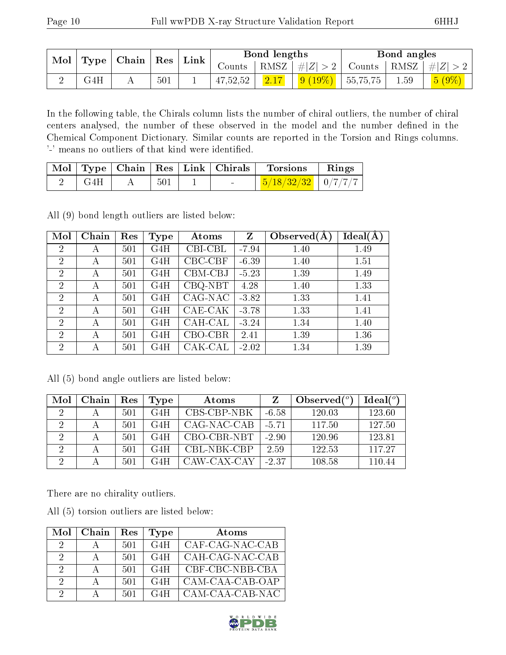| $\mod$ | $\mid$ Type   Chain   Res | $^{\shortmid}$ Link |     |  | Bond lengths |                |                            | Bond angles                                                       |      |       |
|--------|---------------------------|---------------------|-----|--|--------------|----------------|----------------------------|-------------------------------------------------------------------|------|-------|
|        |                           |                     |     |  |              |                |                            | Counts   RMSZ $\mid \#  Z  > 2$   Counts   RMSZ $\mid \#  Z  > 2$ |      |       |
|        | G4H                       |                     | 501 |  | 47,52,52     | $\boxed{2.17}$ | $\vert$ 9 (19%)   55,75,75 |                                                                   | 1.59 | 5(9%) |

In the following table, the Chirals column lists the number of chiral outliers, the number of chiral centers analysed, the number of these observed in the model and the number defined in the Chemical Component Dictionary. Similar counts are reported in the Torsion and Rings columns. '-' means no outliers of that kind were identified.

|       |      |                   | Mol   Type   Chain   Res   Link   Chirals   Torsions   Rings |  |
|-------|------|-------------------|--------------------------------------------------------------|--|
| – G4H | -501 | <b>Contractor</b> | $\frac{5}{18/32/32}$   0/7/7/7                               |  |

All (9) bond length outliers are listed below:

| Mol            | Chain | Res | Type | Atoms   | Z       | Observed $(A)$ | Ideal(A) |
|----------------|-------|-----|------|---------|---------|----------------|----------|
| $\overline{2}$ | А     | 501 | G4H  | CBI-CBL | $-7.94$ | 1.40           | 1.49     |
| $\overline{2}$ | А     | 501 | G4H  | CBC-CBF | $-6.39$ | 1.40           | 1.51     |
| $\overline{2}$ | А     | 501 | G4H  | CBM-CBJ | $-5.23$ | 1.39           | 1.49     |
| $\overline{2}$ | А     | 501 | G4H  | CBQ-NBT | 4.28    | 1.40           | 1.33     |
| $\overline{2}$ | А     | 501 | G4H  | CAG-NAC | $-3.82$ | 1.33           | 1.41     |
| 2              | А     | 501 | G4H  | CAE-CAK | $-3.78$ | 1.33           | 1.41     |
| $\overline{2}$ | А     | 501 | G4H  | CAH-CAL | $-3.24$ | 1.34           | 1.40     |
| $\overline{2}$ | А     | 501 | G4H  | CBO-CBR | 2.41    | 1.39           | 1.36     |
| $\overline{2}$ | А     | 501 | G4H  | CAK-CAL | $-2.02$ | 1.34           | 1.39     |

|  |  | All (5) bond angle outliers are listed below: |  |  |
|--|--|-----------------------------------------------|--|--|
|  |  |                                               |  |  |

| Mol      | Chain | Res | 'Type | Atoms       |         | Observed $(^\circ)$ | Ideal(°) |
|----------|-------|-----|-------|-------------|---------|---------------------|----------|
| 2        |       | 501 | G4H   | CBS-CBP-NBK | $-6.58$ | 120.03              | 123.60   |
| റ        |       | 501 | G4H   | CAG-NAC-CAB | $-5.71$ | 117.50              | 127.50   |
| $\Omega$ |       | 501 | G4H   | CBO-CBR-NBT | $-2.90$ | 120.96              | 123.81   |
|          |       | 501 | G4H   | CBL-NBK-CBP | 2.59    | 122.53              | 117.27   |
|          |       | 501 | G4H   | CAW-CAX-CAY | $-2.37$ | 108.58              | 110.44   |

There are no chirality outliers.

All (5) torsion outliers are listed below:

|   | $Mol$   Chain | Res | <b>Type</b> | Atoms           |
|---|---------------|-----|-------------|-----------------|
| 2 |               | 501 | G4H         | CAF-CAG-NAC-CAB |
| 9 |               | 501 | G4H         | CAH-CAG-NAC-CAB |
| 2 |               | 501 | G4H.        | CBF-CBC-NBB-CBA |
| 2 |               | 501 | G4H         | CAM-CAA-CAB-OAP |
| 9 |               | 501 | G4H         | CAM-CAA-CAB-NAC |

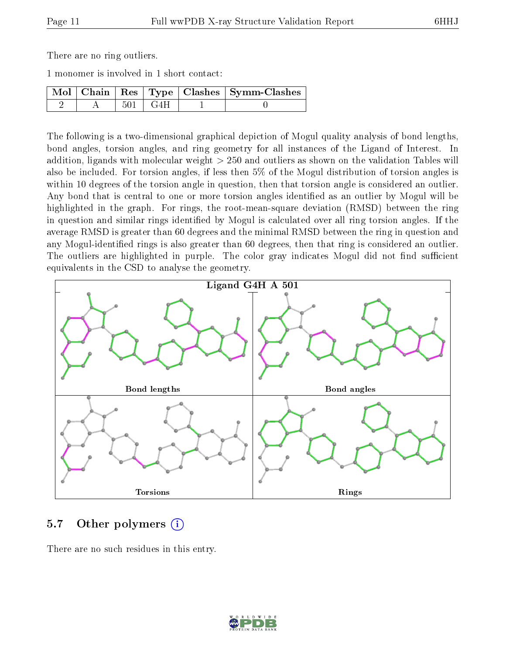There are no ring outliers.

1 monomer is involved in 1 short contact:

|  |             | $\boxed{\text{Mol}$   Chain   Res   Type   Clashes   Symm-Clashes |
|--|-------------|-------------------------------------------------------------------|
|  | – 501 + G4H |                                                                   |

The following is a two-dimensional graphical depiction of Mogul quality analysis of bond lengths, bond angles, torsion angles, and ring geometry for all instances of the Ligand of Interest. In addition, ligands with molecular weight > 250 and outliers as shown on the validation Tables will also be included. For torsion angles, if less then 5% of the Mogul distribution of torsion angles is within 10 degrees of the torsion angle in question, then that torsion angle is considered an outlier. Any bond that is central to one or more torsion angles identified as an outlier by Mogul will be highlighted in the graph. For rings, the root-mean-square deviation (RMSD) between the ring in question and similar rings identified by Mogul is calculated over all ring torsion angles. If the average RMSD is greater than 60 degrees and the minimal RMSD between the ring in question and any Mogul-identified rings is also greater than 60 degrees, then that ring is considered an outlier. The outliers are highlighted in purple. The color gray indicates Mogul did not find sufficient equivalents in the CSD to analyse the geometry.



### 5.7 [O](https://www.wwpdb.org/validation/2017/XrayValidationReportHelp#nonstandard_residues_and_ligands)ther polymers (i)

There are no such residues in this entry.

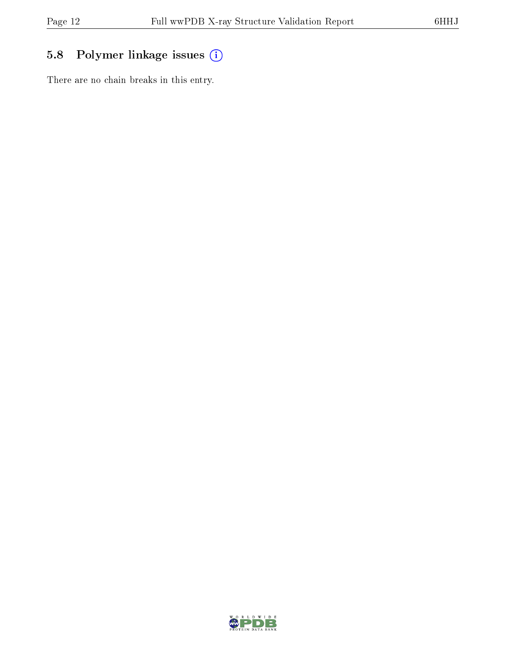### 5.8 Polymer linkage issues (i)

There are no chain breaks in this entry.

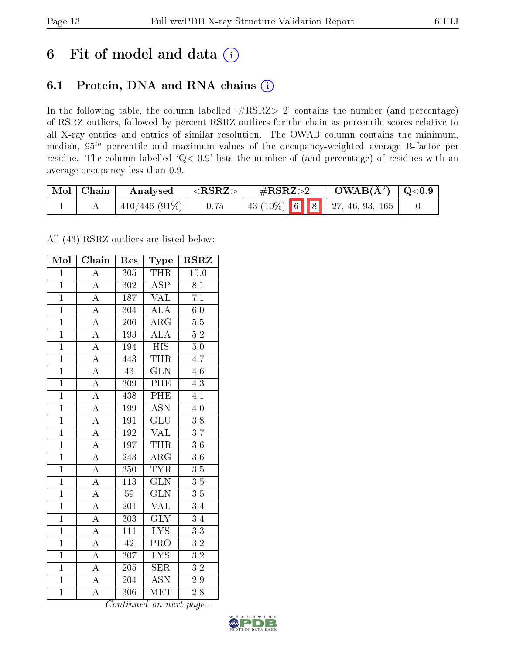## 6 Fit of model and data  $(i)$

### 6.1 Protein, DNA and RNA chains  $(i)$

In the following table, the column labelled  $#RSRZ> 2'$  contains the number (and percentage) of RSRZ outliers, followed by percent RSRZ outliers for the chain as percentile scores relative to all X-ray entries and entries of similar resolution. The OWAB column contains the minimum, median,  $95<sup>th</sup>$  percentile and maximum values of the occupancy-weighted average B-factor per residue. The column labelled ' $Q< 0.9$ ' lists the number of (and percentage) of residues with an average occupancy less than 0.9.

| Mol   Chain | Analysed      | $^+$ <rsrz> <math>^-</math></rsrz> | $\#\text{RSRZ}\text{>2}$              | $\text{OWAB}(\AA^2)$   Q<0.9 |  |
|-------------|---------------|------------------------------------|---------------------------------------|------------------------------|--|
|             | 410/446 (91%) | 0.75                               | $\mid$ 43 (10%) 6 8 7 27, 46, 93, 165 |                              |  |

All (43) RSRZ outliers are listed below:

| Mol            | Chain              | Res              | Type                      | <b>RSRZ</b>      |  |
|----------------|--------------------|------------------|---------------------------|------------------|--|
| $\mathbf{1}$   | $\overline{\rm A}$ | 305              | <b>THR</b>                | 15.0             |  |
| $\mathbf{1}$   | $\overline{\rm A}$ | 302              | $\overline{\text{ASP}}$   | 8.1              |  |
| $\overline{1}$ | $\overline{\rm A}$ | 187              | $\overline{\text{VAL}}$   | $\overline{7.1}$ |  |
| $\overline{1}$ | $\overline{\rm A}$ | 304              | <b>ALA</b>                | 6.0              |  |
| $\overline{1}$ | $\overline{\rm A}$ | 206              | $\overline{\rm{ARG}}$     | $\overline{5.5}$ |  |
| $\overline{1}$ | $\overline{\rm A}$ | 193              | ALA                       | $\overline{5.2}$ |  |
| $\overline{1}$ | $\overline{\rm A}$ | 194              | <b>HIS</b>                | $5.0\,$          |  |
| $\overline{1}$ | $\overline{\rm A}$ | 443              | <b>THR</b>                | 4.7              |  |
| $\overline{1}$ | $\overline{\rm A}$ | 43               | <b>GLN</b>                | 4.6              |  |
| $\overline{1}$ | $\overline{A}$     | 309              | PHE                       | 4.3              |  |
| $\overline{1}$ | $\overline{\rm A}$ | 438              | $P\overline{HE}$          | $\overline{4.1}$ |  |
| $\overline{1}$ | $\overline{\rm A}$ | 199              | $\overline{\mathrm{ASN}}$ | $\overline{4.0}$ |  |
| $\overline{1}$ | $\overline{\rm A}$ | 191              | $\overline{\text{GLU}}$   | 3.8              |  |
| $\overline{1}$ | A                  | 192              | $\text{VAL}$              | $\overline{3.7}$ |  |
| $\overline{1}$ | $\overline{A}$     | 197              | <b>THR</b>                | $3.6\,$          |  |
| $\overline{1}$ | $\overline{\rm A}$ | 243              | $\rm{ARG}$                | $3.6\,$          |  |
| $\overline{1}$ | $\overline{\rm A}$ | 350              | <b>TYR</b>                | $\overline{3.5}$ |  |
| $\overline{1}$ | $\overline{\rm A}$ | 113              | $\overline{\text{GLN}}$   | $\overline{3.5}$ |  |
| $\overline{1}$ | $\overline{\rm A}$ | 59               | $\widetilde{{\rm GLN}}$   | $\overline{3.5}$ |  |
| $\overline{1}$ | $\overline{\rm A}$ | 201              | VAL                       | 3.4              |  |
| $\overline{1}$ | $\overline{\rm A}$ | 303              | $\overline{\text{GLY}}$   | 3.4              |  |
| $\overline{1}$ | $\overline{\rm A}$ | $1\overline{11}$ | $\overline{\text{LYS}}$   | $\overline{3.3}$ |  |
| $\mathbf{1}$   | A                  | 42               | PRO                       | $\rm 3.2$        |  |
| $\overline{1}$ | $\overline{\rm A}$ | 307              | $\overline{\text{LYS}}$   | $\overline{3.2}$ |  |
| $\overline{1}$ | $\overline{\rm A}$ | 205              | <b>SER</b>                | $\overline{3.2}$ |  |
| $\overline{1}$ | $\overline{\rm A}$ | 204              | $\overline{\mathrm{ASN}}$ | $2.9\,$          |  |
| $\overline{1}$ | $\overline{\rm A}$ | 306              | $\overline{\text{MET}}$   | 2.8              |  |

Continued on next page...

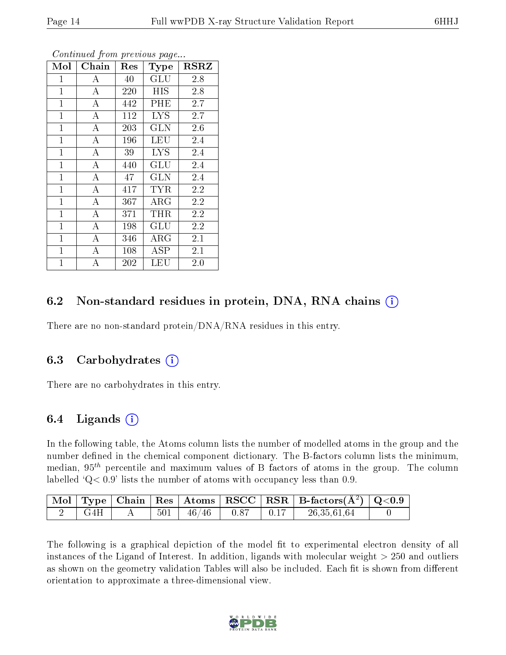| Mol            | Chain              | Res | Type                 | RSRZ |
|----------------|--------------------|-----|----------------------|------|
| $\mathbf{1}$   | A                  | 40  | GLU                  | 2.8  |
| $\mathbf{1}$   | $\boldsymbol{A}$   | 220 | <b>HIS</b>           | 2.8  |
| $\mathbf{1}$   | $\bf{A}$           | 442 | PHE                  | 2.7  |
| $\mathbf{1}$   | $\bf{A}$           | 112 | <b>LYS</b>           | 2.7  |
| $\overline{1}$ | $\overline{\rm A}$ | 203 | <b>GLN</b>           | 2.6  |
| $\mathbf{1}$   | $\bf{A}$           | 196 | LEU                  | 2.4  |
| $\mathbf{1}$   | $\boldsymbol{A}$   | 39  | <b>LYS</b>           | 2.4  |
| $\mathbf{1}$   | А                  | 440 | $\operatorname{GLU}$ | 2.4  |
| $\mathbf{1}$   | $\bf{A}$           | 47  | <b>GLN</b>           | 2.4  |
| $\mathbf{1}$   | $\bf{A}$           | 417 | <b>TYR</b>           | 2.2  |
| $\mathbf{1}$   | $\boldsymbol{A}$   | 367 | $\rm{ARG}$           | 2.2  |
| $\mathbf{1}$   | $\overline{\rm A}$ | 371 | THR                  | 2.2  |
| $\mathbf{1}$   | $\boldsymbol{A}$   | 198 | GLU                  | 2.2  |
| $\mathbf{1}$   | $\boldsymbol{A}$   | 346 | $\rm{ARG}$           | 2.1  |
| $\mathbf{1}$   | $\boldsymbol{A}$   | 108 | ASP                  | 2.1  |
| $\mathbf{1}$   | $\bf{A}$           | 202 | <b>LEU</b>           | 2.0  |

Continued from previous page...

### 6.2 Non-standard residues in protein, DNA, RNA chains  $(i)$

There are no non-standard protein/DNA/RNA residues in this entry.

#### 6.3 Carbohydrates (i)

There are no carbohydrates in this entry.

### 6.4 Ligands  $(i)$

In the following table, the Atoms column lists the number of modelled atoms in the group and the number defined in the chemical component dictionary. The B-factors column lists the minimum, median,  $95<sup>th</sup>$  percentile and maximum values of B factors of atoms in the group. The column labelled  $Q< 0.9$ ' lists the number of atoms with occupancy less than 0.9.

|     |  |                        |                                                                                             | $\vert$ Mol $\vert$ Type $\vert$ Chain $\vert$ Res $\vert$ Atoms $\vert$ RSCC $\vert$ RSR $\vert$ B-factors(A <sup>2</sup> ) $\vert$ Q<0.9 |  |
|-----|--|------------------------|---------------------------------------------------------------------------------------------|--------------------------------------------------------------------------------------------------------------------------------------------|--|
| G4H |  | $501$   $46/46$   0.87 | $\begin{array}{c} \begin{array}{c} \text{\color{blue}{\large 0.17} \end{array} \end{array}$ | 26,35,61,64                                                                                                                                |  |

The following is a graphical depiction of the model fit to experimental electron density of all instances of the Ligand of Interest. In addition, ligands with molecular weight  $> 250$  and outliers as shown on the geometry validation Tables will also be included. Each fit is shown from different orientation to approximate a three-dimensional view.